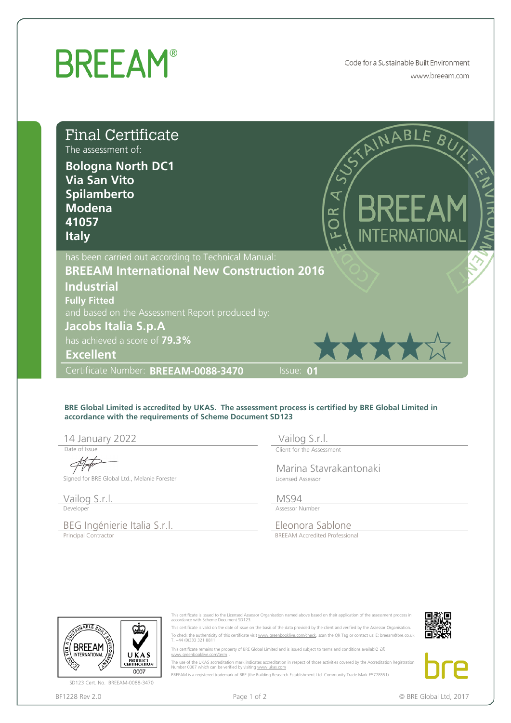## **BREEAM®** Code for a Sustainable Built Environment www.breeam.com Final Certificate  $AB$ The assessment of: **Bologna North DC1 Via San Vito Spilamberto**  $\overline{\mathbf{x}}$ **Modena**  $\approx$ **41057** ∩ **Italy** has been carried out according to Technical Manual: **BREEAM International New Construction 2016 Industrial Fully Fitted** and based on the Assessment Report produced by: **Excellent**<br> **Excellent**<br> **Excellent**<br> **Excellent**<br> **Excellent**<br> **Excellent**<br> **Excellent**<br> **Excellent**<br> **Excellent**<br> **Excellent**<br> **Excellent**<br> **Excellent**<br> **Excellent**<br> **Excellent**<br> **Excellent**<br> **Excellent**<br> **Excellent**<br> has achieved a score of **79.3% Excellent** Certificate Number: BREEAM-0088-3470 **Share:** Issue: **01**

## **BRE Global Limited is accredited by UKAS. The assessment process is certified by BRE Global Limited in accordance with the requirements of Scheme Document SD123**

14 January 2022

Date of Issue

Signed for BRE Global Ltd., Melanie Forester

Vailog S.r.l. Developer

BEG Ingénierie Italia S.r.l.<br>
Eleonora Sablone Principal Contractor

Vailog S.r.l.

Client for the Assessment

Marina Stavrakantonaki Licensed Assessor

Assessor Number MS94

This certificate is issued to the Licensed Assessor Organisation named above based on their application of the assessment process in accordance with Scheme Document SD123. This certificate is valid on the date of issue on the basis of the data provided by the client and verified by the Assessor Organisation. To check the authenticity of this certificate visit <u>www.greenbooklive.com/check</u>, scan the QR Tag or contact us: E: breeam@bre.co.uk<br>T. +44 (0)333 321 8811

The use of the UKAS accreditation mark indicates accreditation in respect of those activities covered by the Accreditation Registration<br>Number 0007 which can be verified by visiting <u>www.ukas.com</u> BREEAM is a registered trademark of BRE (the Building Research Establishment Ltd. Community Trade Mark E5778551)

This certificate remains the property of BRE Global Limited and is issued subject to terms and conditions available  $at$ 

BREEAM Accredited Professional



SD123 Cert. No. BREEAM-0088-3470

BF1228 Rev 2.0



www.greenbooklive.com/term .